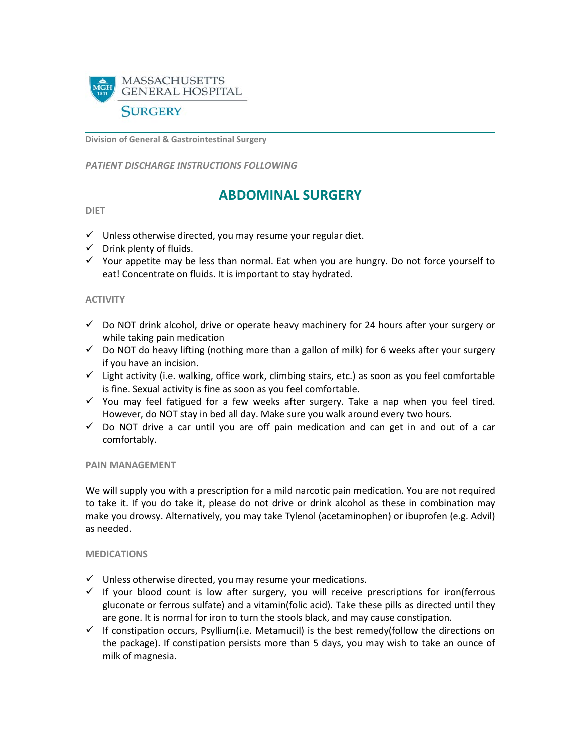

**Division of General & Gastrointestinal Surgery**

*PATIENT DISCHARGE INSTRUCTIONS FOLLOWING* 

# **ABDOMINAL SURGERY**

#### **DIET**

- $\checkmark$  Unless otherwise directed, you may resume your regular diet.
- $\checkmark$  Drink plenty of fluids.
- $\checkmark$  Your appetite may be less than normal. Eat when you are hungry. Do not force yourself to eat! Concentrate on fluids. It is important to stay hydrated.

### **ACTIVITY**

- $\checkmark$  Do NOT drink alcohol, drive or operate heavy machinery for 24 hours after your surgery or while taking pain medication
- $\checkmark$  Do NOT do heavy lifting (nothing more than a gallon of milk) for 6 weeks after your surgery if you have an incision.
- $\checkmark$  Light activity (i.e. walking, office work, climbing stairs, etc.) as soon as you feel comfortable is fine. Sexual activity is fine as soon as you feel comfortable.
- $\checkmark$  You may feel fatigued for a few weeks after surgery. Take a nap when you feel tired. However, do NOT stay in bed all day. Make sure you walk around every two hours.
- $\checkmark$  Do NOT drive a car until you are off pain medication and can get in and out of a car comfortably.

### **PAIN MANAGEMENT**

We will supply you with a prescription for a mild narcotic pain medication. You are not required to take it. If you do take it, please do not drive or drink alcohol as these in combination may make you drowsy. Alternatively, you may take Tylenol (acetaminophen) or ibuprofen (e.g. Advil) as needed.

### **MEDICATIONS**

- $\checkmark$  Unless otherwise directed, you may resume your medications.
- $\checkmark$  If your blood count is low after surgery, you will receive prescriptions for iron(ferrous gluconate or ferrous sulfate) and a vitamin(folic acid). Take these pills as directed until they are gone. It is normal for iron to turn the stools black, and may cause constipation.
- $\checkmark$  If constipation occurs, Psyllium(i.e. Metamucil) is the best remedy(follow the directions on the package). If constipation persists more than 5 days, you may wish to take an ounce of milk of magnesia.